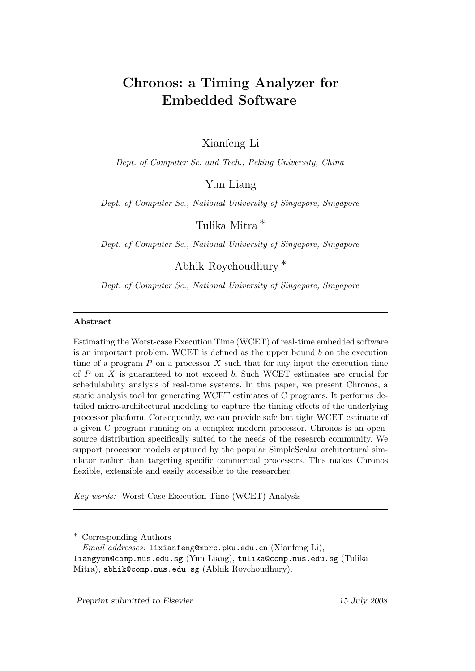# Chronos: a Timing Analyzer for Embedded Software

Xianfeng Li

Dept. of Computer Sc. and Tech., Peking University, China

Yun Liang

Dept. of Computer Sc., National University of Singapore, Singapore

Tulika Mitra ∗

Dept. of Computer Sc., National University of Singapore, Singapore

Abhik Roychoudhury ∗

Dept. of Computer Sc., National University of Singapore, Singapore

### Abstract

Estimating the Worst-case Execution Time (WCET) of real-time embedded software is an important problem. WCET is defined as the upper bound  $b$  on the execution time of a program  $P$  on a processor  $X$  such that for any input the execution time of P on X is guaranteed to not exceed b. Such WCET estimates are crucial for schedulability analysis of real-time systems. In this paper, we present Chronos, a static analysis tool for generating WCET estimates of C programs. It performs detailed micro-architectural modeling to capture the timing effects of the underlying processor platform. Consequently, we can provide safe but tight WCET estimate of a given C program running on a complex modern processor. Chronos is an opensource distribution specifically suited to the needs of the research community. We support processor models captured by the popular SimpleScalar architectural simulator rather than targeting specific commercial processors. This makes Chronos flexible, extensible and easily accessible to the researcher.

Key words: Worst Case Execution Time (WCET) Analysis

Corresponding Authors

Preprint submitted to Elsevier 15 July 2008

Email addresses: lixianfeng@mprc.pku.edu.cn (Xianfeng Li),

liangyun@comp.nus.edu.sg (Yun Liang), tulika@comp.nus.edu.sg (Tulika Mitra), abhik@comp.nus.edu.sg (Abhik Roychoudhury).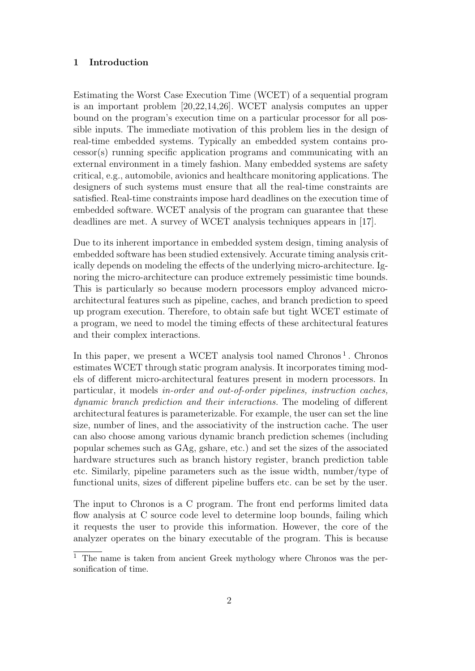### 1 Introduction

Estimating the Worst Case Execution Time (WCET) of a sequential program is an important problem [20,22,14,26]. WCET analysis computes an upper bound on the program's execution time on a particular processor for all possible inputs. The immediate motivation of this problem lies in the design of real-time embedded systems. Typically an embedded system contains processor(s) running specific application programs and communicating with an external environment in a timely fashion. Many embedded systems are safety critical, e.g., automobile, avionics and healthcare monitoring applications. The designers of such systems must ensure that all the real-time constraints are satisfied. Real-time constraints impose hard deadlines on the execution time of embedded software. WCET analysis of the program can guarantee that these deadlines are met. A survey of WCET analysis techniques appears in [17].

Due to its inherent importance in embedded system design, timing analysis of embedded software has been studied extensively. Accurate timing analysis critically depends on modeling the effects of the underlying micro-architecture. Ignoring the micro-architecture can produce extremely pessimistic time bounds. This is particularly so because modern processors employ advanced microarchitectural features such as pipeline, caches, and branch prediction to speed up program execution. Therefore, to obtain safe but tight WCET estimate of a program, we need to model the timing effects of these architectural features and their complex interactions.

In this paper, we present a WCET analysis tool named  $Chronos<sup>1</sup>$ . Chronos estimates WCET through static program analysis. It incorporates timing models of different micro-architectural features present in modern processors. In particular, it models in-order and out-of-order pipelines, instruction caches, dynamic branch prediction and their interactions. The modeling of different architectural features is parameterizable. For example, the user can set the line size, number of lines, and the associativity of the instruction cache. The user can also choose among various dynamic branch prediction schemes (including popular schemes such as GAg, gshare, etc.) and set the sizes of the associated hardware structures such as branch history register, branch prediction table etc. Similarly, pipeline parameters such as the issue width, number/type of functional units, sizes of different pipeline buffers etc. can be set by the user.

The input to Chronos is a C program. The front end performs limited data flow analysis at C source code level to determine loop bounds, failing which it requests the user to provide this information. However, the core of the analyzer operates on the binary executable of the program. This is because

<sup>&</sup>lt;sup>1</sup> The name is taken from ancient Greek mythology where Chronos was the personification of time.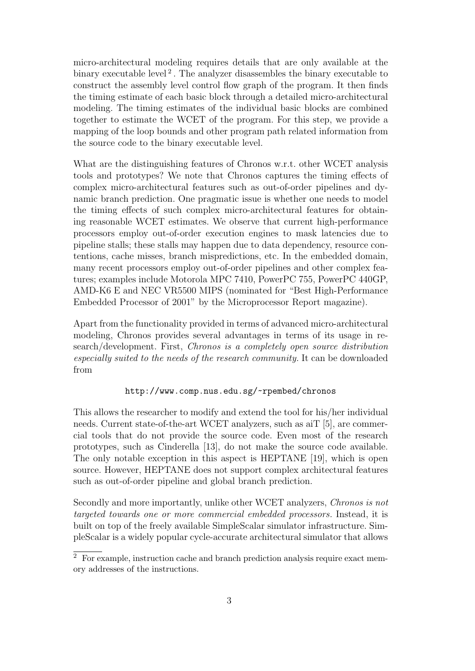micro-architectural modeling requires details that are only available at the binary executable level<sup>2</sup>. The analyzer disassembles the binary executable to construct the assembly level control flow graph of the program. It then finds the timing estimate of each basic block through a detailed micro-architectural modeling. The timing estimates of the individual basic blocks are combined together to estimate the WCET of the program. For this step, we provide a mapping of the loop bounds and other program path related information from the source code to the binary executable level.

What are the distinguishing features of Chronos w.r.t. other WCET analysis tools and prototypes? We note that Chronos captures the timing effects of complex micro-architectural features such as out-of-order pipelines and dynamic branch prediction. One pragmatic issue is whether one needs to model the timing effects of such complex micro-architectural features for obtaining reasonable WCET estimates. We observe that current high-performance processors employ out-of-order execution engines to mask latencies due to pipeline stalls; these stalls may happen due to data dependency, resource contentions, cache misses, branch mispredictions, etc. In the embedded domain, many recent processors employ out-of-order pipelines and other complex features; examples include Motorola MPC 7410, PowerPC 755, PowerPC 440GP, AMD-K6 E and NEC VR5500 MIPS (nominated for "Best High-Performance Embedded Processor of 2001" by the Microprocessor Report magazine).

Apart from the functionality provided in terms of advanced micro-architectural modeling, Chronos provides several advantages in terms of its usage in research/development. First, Chronos is a completely open source distribution especially suited to the needs of the research community. It can be downloaded from

### http://www.comp.nus.edu.sg/~rpembed/chronos

This allows the researcher to modify and extend the tool for his/her individual needs. Current state-of-the-art WCET analyzers, such as aiT [5], are commercial tools that do not provide the source code. Even most of the research prototypes, such as Cinderella [13], do not make the source code available. The only notable exception in this aspect is HEPTANE [19], which is open source. However, HEPTANE does not support complex architectural features such as out-of-order pipeline and global branch prediction.

Secondly and more importantly, unlike other WCET analyzers, Chronos is not targeted towards one or more commercial embedded processors. Instead, it is built on top of the freely available SimpleScalar simulator infrastructure. SimpleScalar is a widely popular cycle-accurate architectural simulator that allows

<sup>2</sup> For example, instruction cache and branch prediction analysis require exact memory addresses of the instructions.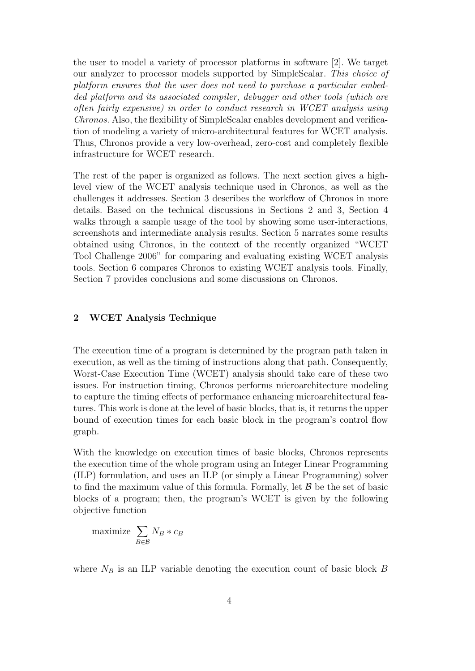the user to model a variety of processor platforms in software [2]. We target our analyzer to processor models supported by SimpleScalar. This choice of platform ensures that the user does not need to purchase a particular embedded platform and its associated compiler, debugger and other tools (which are often fairly expensive) in order to conduct research in WCET analysis using Chronos. Also, the flexibility of SimpleScalar enables development and verification of modeling a variety of micro-architectural features for WCET analysis. Thus, Chronos provide a very low-overhead, zero-cost and completely flexible infrastructure for WCET research.

The rest of the paper is organized as follows. The next section gives a highlevel view of the WCET analysis technique used in Chronos, as well as the challenges it addresses. Section 3 describes the workflow of Chronos in more details. Based on the technical discussions in Sections 2 and 3, Section 4 walks through a sample usage of the tool by showing some user-interactions, screenshots and intermediate analysis results. Section 5 narrates some results obtained using Chronos, in the context of the recently organized "WCET Tool Challenge 2006" for comparing and evaluating existing WCET analysis tools. Section 6 compares Chronos to existing WCET analysis tools. Finally, Section 7 provides conclusions and some discussions on Chronos.

### 2 WCET Analysis Technique

The execution time of a program is determined by the program path taken in execution, as well as the timing of instructions along that path. Consequently, Worst-Case Execution Time (WCET) analysis should take care of these two issues. For instruction timing, Chronos performs microarchitecture modeling to capture the timing effects of performance enhancing microarchitectural features. This work is done at the level of basic blocks, that is, it returns the upper bound of execution times for each basic block in the program's control flow graph.

With the knowledge on execution times of basic blocks, Chronos represents the execution time of the whole program using an Integer Linear Programming (ILP) formulation, and uses an ILP (or simply a Linear Programming) solver to find the maximum value of this formula. Formally, let  $\beta$  be the set of basic blocks of a program; then, the program's WCET is given by the following objective function

$$
\text{maximize } \sum_{B \in \mathcal{B}} N_B * c_B
$$

where  $N_B$  is an ILP variable denoting the execution count of basic block  $B$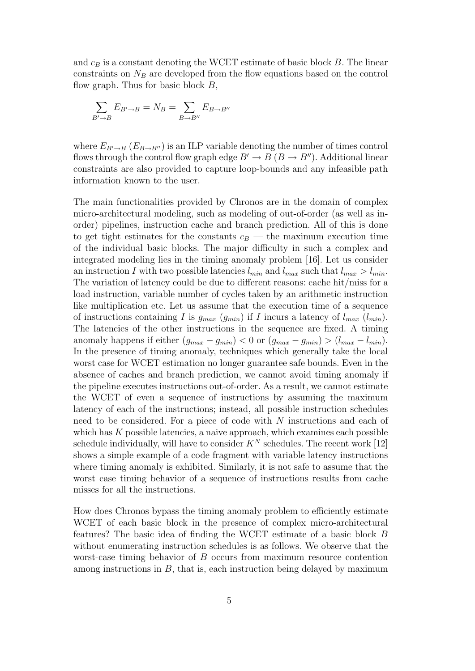and  $c_B$  is a constant denoting the WCET estimate of basic block  $B$ . The linear constraints on  $N_B$  are developed from the flow equations based on the control flow graph. Thus for basic block  $B$ ,

$$
\sum_{B'\to B} E_{B'\to B} = N_B = \sum_{B\to B''} E_{B\to B''}
$$

where  $E_{B'\to B}$  ( $E_{B\to B''}$ ) is an ILP variable denoting the number of times control flows through the control flow graph edge  $B' \to B (B \to B'')$ . Additional linear constraints are also provided to capture loop-bounds and any infeasible path information known to the user.

The main functionalities provided by Chronos are in the domain of complex micro-architectural modeling, such as modeling of out-of-order (as well as inorder) pipelines, instruction cache and branch prediction. All of this is done to get tight estimates for the constants  $c_B$  — the maximum execution time of the individual basic blocks. The major difficulty in such a complex and integrated modeling lies in the timing anomaly problem [16]. Let us consider an instruction I with two possible latencies  $l_{min}$  and  $l_{max}$  such that  $l_{max} > l_{min}$ . The variation of latency could be due to different reasons: cache hit/miss for a load instruction, variable number of cycles taken by an arithmetic instruction like multiplication etc. Let us assume that the execution time of a sequence of instructions containing I is  $g_{max}$   $(g_{min})$  if I incurs a latency of  $l_{max}$   $(l_{min})$ . The latencies of the other instructions in the sequence are fixed. A timing anomaly happens if either  $(g_{max} - g_{min}) < 0$  or  $(g_{max} - g_{min}) > (l_{max} - l_{min})$ . In the presence of timing anomaly, techniques which generally take the local worst case for WCET estimation no longer guarantee safe bounds. Even in the absence of caches and branch prediction, we cannot avoid timing anomaly if the pipeline executes instructions out-of-order. As a result, we cannot estimate the WCET of even a sequence of instructions by assuming the maximum latency of each of the instructions; instead, all possible instruction schedules need to be considered. For a piece of code with N instructions and each of which has  $K$  possible latencies, a naive approach, which examines each possible schedule individually, will have to consider  $K^N$  schedules. The recent work [12] shows a simple example of a code fragment with variable latency instructions where timing anomaly is exhibited. Similarly, it is not safe to assume that the worst case timing behavior of a sequence of instructions results from cache misses for all the instructions.

How does Chronos bypass the timing anomaly problem to efficiently estimate WCET of each basic block in the presence of complex micro-architectural features? The basic idea of finding the WCET estimate of a basic block B without enumerating instruction schedules is as follows. We observe that the worst-case timing behavior of B occurs from maximum resource contention among instructions in  $B$ , that is, each instruction being delayed by maximum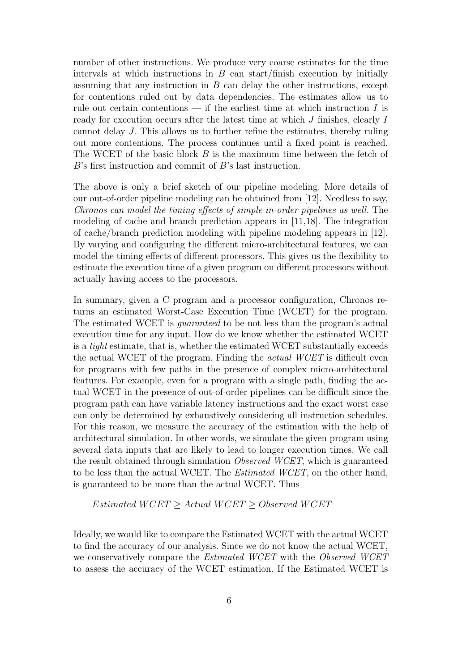number of other instructions. We produce very coarse estimates for the time intervals at which instructions in  $B$  can start/finish execution by initially assuming that any instruction in  $B$  can delay the other instructions, except for contentions ruled out by data dependencies. The estimates allow us to rule out certain contentions — if the earliest time at which instruction  $I$  is ready for execution occurs after the latest time at which J finishes, clearly I cannot delay J. This allows us to further refine the estimates, thereby ruling out more contentions. The process continues until a fixed point is reached. The WCET of the basic block B is the maximum time between the fetch of B's first instruction and commit of B's last instruction.

The above is only a brief sketch of our pipeline modeling. More details of our out-of-order pipeline modeling can be obtained from [12]. Needless to say, Chronos can model the timing effects of simple in-order pipelines as well. The modeling of cache and branch prediction appears in [11,18]. The integration of cache/branch prediction modeling with pipeline modeling appears in [12]. By varying and configuring the different micro-architectural features, we can model the timing effects of different processors. This gives us the flexibility to estimate the execution time of a given program on different processors without actually having access to the processors.

In summary, given a C program and a processor configuration, Chronos returns an estimated Worst-Case Execution Time (WCET) for the program. The estimated WCET is guaranteed to be not less than the program's actual execution time for any input. How do we know whether the estimated WCET is a tight estimate, that is, whether the estimated WCET substantially exceeds the actual WCET of the program. Finding the actual WCET is difficult even for programs with few paths in the presence of complex micro-architectural features. For example, even for a program with a single path, finding the actual WCET in the presence of out-of-order pipelines can be difficult since the program path can have variable latency instructions and the exact worst case can only be determined by exhaustively considering all instruction schedules. For this reason, we measure the accuracy of the estimation with the help of architectural simulation. In other words, we simulate the given program using several data inputs that are likely to lead to longer execution times. We call the result obtained through simulation Observed WCET, which is guaranteed to be less than the actual WCET. The Estimated WCET, on the other hand, is guaranteed to be more than the actual WCET. Thus

### $Estimated \ WGET \geq Actual \ WCEPT \geq Observed \ WCEPT$

Ideally, we would like to compare the Estimated WCET with the actual WCET to find the accuracy of our analysis. Since we do not know the actual WCET, we conservatively compare the *Estimated WCET* with the *Observed WCET* to assess the accuracy of the WCET estimation. If the Estimated WCET is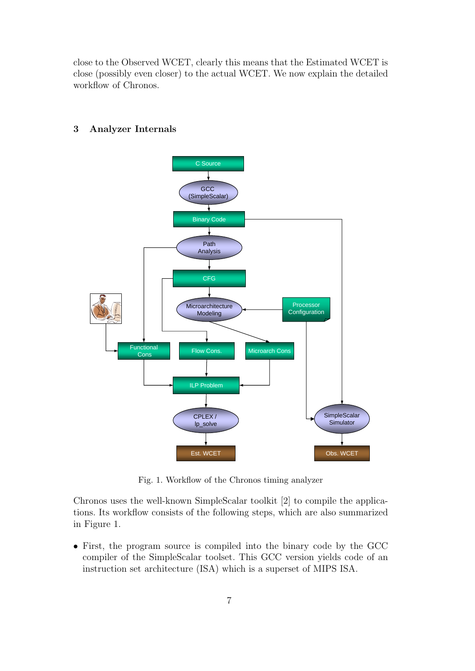close to the Observed WCET, clearly this means that the Estimated WCET is close (possibly even closer) to the actual WCET. We now explain the detailed workflow of Chronos.



### 3 Analyzer Internals

Fig. 1. Workflow of the Chronos timing analyzer

Chronos uses the well-known SimpleScalar toolkit [2] to compile the applications. Its workflow consists of the following steps, which are also summarized in Figure 1.

• First, the program source is compiled into the binary code by the GCC compiler of the SimpleScalar toolset. This GCC version yields code of an instruction set architecture (ISA) which is a superset of MIPS ISA.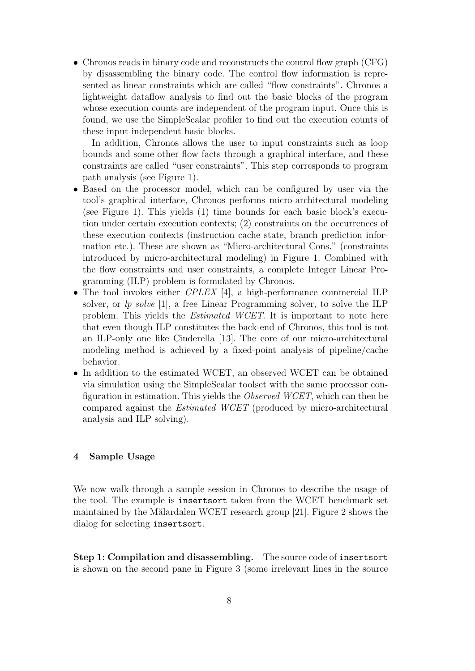• Chronos reads in binary code and reconstructs the control flow graph (CFG) by disassembling the binary code. The control flow information is represented as linear constraints which are called "flow constraints". Chronos a lightweight dataflow analysis to find out the basic blocks of the program whose execution counts are independent of the program input. Once this is found, we use the SimpleScalar profiler to find out the execution counts of these input independent basic blocks.

In addition, Chronos allows the user to input constraints such as loop bounds and some other flow facts through a graphical interface, and these constraints are called "user constraints". This step corresponds to program path analysis (see Figure 1).

- Based on the processor model, which can be configured by user via the tool's graphical interface, Chronos performs micro-architectural modeling (see Figure 1). This yields (1) time bounds for each basic block's execution under certain execution contexts; (2) constraints on the occurrences of these execution contexts (instruction cache state, branch prediction information etc.). These are shown as "Micro-architectural Cons." (constraints introduced by micro-architectural modeling) in Figure 1. Combined with the flow constraints and user constraints, a complete Integer Linear Programming (ILP) problem is formulated by Chronos.
- The tool invokes either CPLEX [4], a high-performance commercial ILP solver, or  $lp\_solve$  [1], a free Linear Programming solver, to solve the ILP problem. This yields the Estimated WCET. It is important to note here that even though ILP constitutes the back-end of Chronos, this tool is not an ILP-only one like Cinderella [13]. The core of our micro-architectural modeling method is achieved by a fixed-point analysis of pipeline/cache behavior.
- In addition to the estimated WCET, an observed WCET can be obtained via simulation using the SimpleScalar toolset with the same processor configuration in estimation. This yields the Observed WCET, which can then be compared against the Estimated WCET (produced by micro-architectural analysis and ILP solving).

## 4 Sample Usage

We now walk-through a sample session in Chronos to describe the usage of the tool. The example is insertsort taken from the WCET benchmark set maintained by the Mälardalen WCET research group  $[21]$ . Figure 2 shows the dialog for selecting insertsort.

Step 1: Compilation and disassembling. The source code of insertsort is shown on the second pane in Figure 3 (some irrelevant lines in the source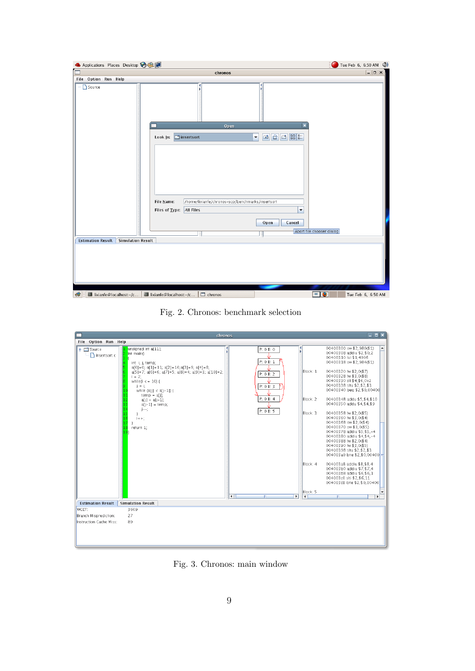| Applications Places Desktop 88                       |                                                                                                                                                | Tue Feb 6, 6:50 AM (1)               |
|------------------------------------------------------|------------------------------------------------------------------------------------------------------------------------------------------------|--------------------------------------|
|                                                      | chronos                                                                                                                                        | $\Box$ d $\boxtimes$ )               |
| File Option Run Help                                 |                                                                                                                                                |                                      |
| Source                                               | к                                                                                                                                              |                                      |
|                                                      | $\overline{\mathbf{x}}$<br>Open                                                                                                                |                                      |
|                                                      | 自己認証<br>$\boxed{6}$<br>$\Box$ insertsort<br>Look In:<br>$\blacktriangledown$                                                                   |                                      |
|                                                      | File Name:<br>/home/lixianfe/chronos-scp/benchmarks/insertsort<br><b>All Files</b><br>Files of Type:<br>$\blacktriangledown$<br>Cancel<br>Open | Abort file chooser dialog            |
| <b>Simulation Result</b><br><b>Estimation Result</b> |                                                                                                                                                |                                      |
|                                                      |                                                                                                                                                |                                      |
|                                                      |                                                                                                                                                |                                      |
| lixianfe@localhost:~/c<br>$\bullet$                  | $\Box$ lixianfe@localhost:~/c<br>$\Box$ chronos                                                                                                | $\blacksquare$<br>Tue Feb 6, 6:50 AM |

Fig. 2. Chronos: benchmark selection

|                                |                                                                                                                                                                                                                                                                                                                                                                                           | chronos                                                                                                                             | $\Box$ o $\bm{\times}$                                                                                                                                                                                                                                                                                                                                                                                                                                                                                                                                                                                                                                                                                                                                                                                                                                                                                                            |
|--------------------------------|-------------------------------------------------------------------------------------------------------------------------------------------------------------------------------------------------------------------------------------------------------------------------------------------------------------------------------------------------------------------------------------------|-------------------------------------------------------------------------------------------------------------------------------------|-----------------------------------------------------------------------------------------------------------------------------------------------------------------------------------------------------------------------------------------------------------------------------------------------------------------------------------------------------------------------------------------------------------------------------------------------------------------------------------------------------------------------------------------------------------------------------------------------------------------------------------------------------------------------------------------------------------------------------------------------------------------------------------------------------------------------------------------------------------------------------------------------------------------------------------|
| File Option Run Help           |                                                                                                                                                                                                                                                                                                                                                                                           |                                                                                                                                     |                                                                                                                                                                                                                                                                                                                                                                                                                                                                                                                                                                                                                                                                                                                                                                                                                                                                                                                                   |
| $P = 5$ ource<br>nsertsort.c   | unsigned int a[11];<br>int main()<br>int i, j, temp;<br>$a[0] = 0; a[1] = 11; a[2] = 10; a[3] = 9; a[4] = 8;$<br>$a[5] = 7$ ; $a[6] = 6$ ; $a[7] = 5$ ; $a[8] = 4$ ; $a[9] = 3$ ; $a[10] = 2$ ;<br>$i = 2$ ;<br>while( $i <$ = 10) {<br>$i = i$ :<br>while $(a[j] < a[j-1])$ {<br>$temp = a[i]$<br>$a[j] = a[j-1]$ ;<br>$a[i-1] = temp$ ;<br>$1 - -1$<br>15<br>$(+ +)$<br>return 1;<br>19 | P: 0 B: 0<br>Ń<br>P: 0 B: 1<br>P: 0 B: 2<br>P: 0 B: 3<br>P: 0 B: 4<br>P: 0 B: 5<br>$\overline{\phantom{a}}$<br>$\blacksquare$<br>W. | 00400300 sw \$2,980(\$1)<br>$\left  \rule{0.2cm}{0.4cm} \right $<br>00400308 addiu \$2,\$0,2<br>00400310 lui \$1,4096<br>00400318 sw \$2,984(\$1)<br>Block: 1<br>00400320 lw \$2,0(\$7)<br>00400328 lw \$3,0(\$8)<br>00400330 sll \$4,\$6,0x2<br>00400338 sltu \$2,\$2,\$3<br>00400340 beg \$2,\$0,00400<br>Block: 2<br>00400348 addu \$5,\$4,\$10<br>00400350 addu \$4,\$4,\$9<br>Block: 3<br>00400358 lw \$2,0(\$5)<br>00400360 lw \$3,0(\$4)<br>00400368 sw \$2.0(\$4)<br>00400370 sw \$3,0(\$5)<br>00400378 addiu \$5,\$5,-4<br>00400380 addiu \$4,\$4,-4<br>00400388 lw \$2,0(\$4)<br>00400390 lw \$3,0(\$5)<br>00400398 sltu \$2,\$2,\$3<br>004003a0 bne \$2,\$0,00400 =<br>Block: 4<br>004003a8 addiu \$8.\$8.4<br>004003b0 addiu \$7.\$7.4<br>004003b8 addiu \$6,\$6,1<br>004003c0 slti \$2,\$6,11<br>004003c8 bne \$2,\$0,00400<br>Block: 5<br>$\overline{\phantom{a}}$<br>$\blacktriangleright$<br>$\blacktriangleleft$ |
| <b>Estimation Result</b>       | <b>Simulation Result</b>                                                                                                                                                                                                                                                                                                                                                                  |                                                                                                                                     |                                                                                                                                                                                                                                                                                                                                                                                                                                                                                                                                                                                                                                                                                                                                                                                                                                                                                                                                   |
| WCET:<br>Branch Misprediction: | 3609<br>27                                                                                                                                                                                                                                                                                                                                                                                |                                                                                                                                     |                                                                                                                                                                                                                                                                                                                                                                                                                                                                                                                                                                                                                                                                                                                                                                                                                                                                                                                                   |
| Instruction Cache Miss:        | 89                                                                                                                                                                                                                                                                                                                                                                                        |                                                                                                                                     |                                                                                                                                                                                                                                                                                                                                                                                                                                                                                                                                                                                                                                                                                                                                                                                                                                                                                                                                   |
|                                |                                                                                                                                                                                                                                                                                                                                                                                           |                                                                                                                                     |                                                                                                                                                                                                                                                                                                                                                                                                                                                                                                                                                                                                                                                                                                                                                                                                                                                                                                                                   |

Fig. 3. Chronos: main window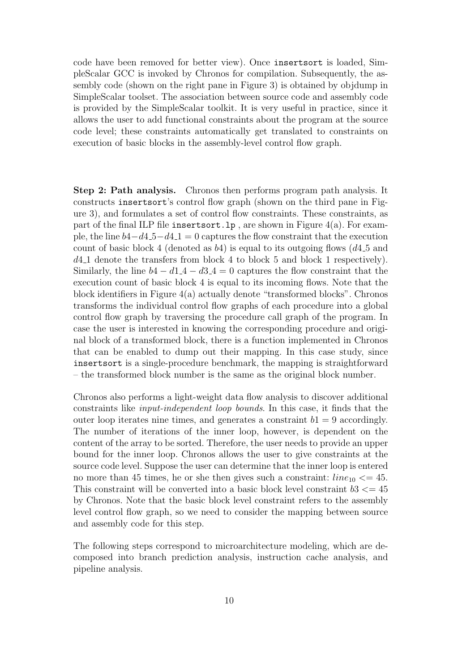code have been removed for better view). Once insertsort is loaded, SimpleScalar GCC is invoked by Chronos for compilation. Subsequently, the assembly code (shown on the right pane in Figure 3) is obtained by objdump in SimpleScalar toolset. The association between source code and assembly code is provided by the SimpleScalar toolkit. It is very useful in practice, since it allows the user to add functional constraints about the program at the source code level; these constraints automatically get translated to constraints on execution of basic blocks in the assembly-level control flow graph.

Step 2: Path analysis. Chronos then performs program path analysis. It constructs insertsort's control flow graph (shown on the third pane in Figure 3), and formulates a set of control flow constraints. These constraints, as part of the final ILP file inserts or  $\mathbf{L}$  p, are shown in Figure 4(a). For example, the line  $b4-d4.5-d4.1=0$  captures the flow constraint that the execution count of basic block 4 (denoted as  $b4$ ) is equal to its outgoing flows (d4.5 and d4 1 denote the transfers from block 4 to block 5 and block 1 respectively). Similarly, the line  $b4 - d1.4 - d3.4 = 0$  captures the flow constraint that the execution count of basic block 4 is equal to its incoming flows. Note that the block identifiers in Figure  $4(a)$  actually denote "transformed blocks". Chronos transforms the individual control flow graphs of each procedure into a global control flow graph by traversing the procedure call graph of the program. In case the user is interested in knowing the corresponding procedure and original block of a transformed block, there is a function implemented in Chronos that can be enabled to dump out their mapping. In this case study, since insertsort is a single-procedure benchmark, the mapping is straightforward – the transformed block number is the same as the original block number.

Chronos also performs a light-weight data flow analysis to discover additional constraints like input-independent loop bounds. In this case, it finds that the outer loop iterates nine times, and generates a constraint  $b1 = 9$  accordingly. The number of iterations of the inner loop, however, is dependent on the content of the array to be sorted. Therefore, the user needs to provide an upper bound for the inner loop. Chronos allows the user to give constraints at the source code level. Suppose the user can determine that the inner loop is entered no more than 45 times, he or she then gives such a constraint:  $line_{10} \leq 45$ . This constraint will be converted into a basic block level constraint  $b3 \leq 45$ by Chronos. Note that the basic block level constraint refers to the assembly level control flow graph, so we need to consider the mapping between source and assembly code for this step.

The following steps correspond to microarchitecture modeling, which are decomposed into branch prediction analysis, instruction cache analysis, and pipeline analysis.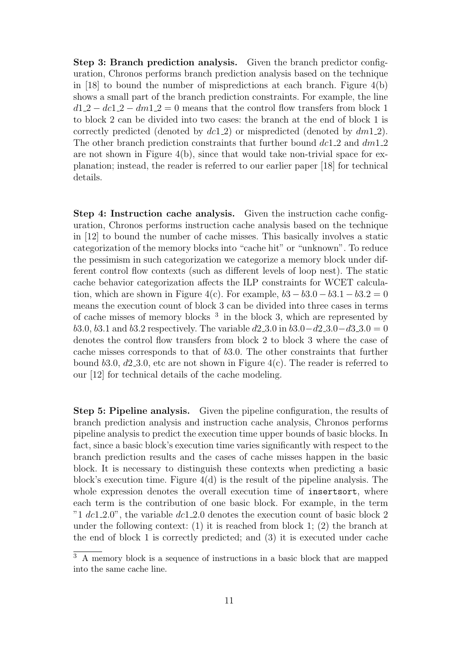Step 3: Branch prediction analysis. Given the branch predictor configuration, Chronos performs branch prediction analysis based on the technique in [18] to bound the number of mispredictions at each branch. Figure  $4(b)$ shows a small part of the branch prediction constraints. For example, the line  $d1.2 - d1.2 - dm1.2 = 0$  means that the control flow transfers from block 1 to block 2 can be divided into two cases: the branch at the end of block 1 is correctly predicted (denoted by  $dcl(2)$ ) or mispredicted (denoted by  $dm(1,2)$ ). The other branch prediction constraints that further bound  $dc1.2$  and  $dm1.2$ are not shown in Figure 4(b), since that would take non-trivial space for explanation; instead, the reader is referred to our earlier paper [18] for technical details.

Step 4: Instruction cache analysis. Given the instruction cache configuration, Chronos performs instruction cache analysis based on the technique in [12] to bound the number of cache misses. This basically involves a static categorization of the memory blocks into "cache hit" or "unknown". To reduce the pessimism in such categorization we categorize a memory block under different control flow contexts (such as different levels of loop nest). The static cache behavior categorization affects the ILP constraints for WCET calculation, which are shown in Figure 4(c). For example,  $b3 - b3.0 - b3.1 - b3.2 = 0$ means the execution count of block 3 can be divided into three cases in terms of cache misses of memory blocks  $3$  in the block 3, which are represented by b3.0, b3.1 and b3.2 respectively. The variable  $d2$  3.0 in b3.0−d2 3.0−d3 3.0 = 0 denotes the control flow transfers from block 2 to block 3 where the case of cache misses corresponds to that of b3.0. The other constraints that further bound b3.0,  $d2.3.0$ , etc are not shown in Figure 4(c). The reader is referred to our [12] for technical details of the cache modeling.

Step 5: Pipeline analysis. Given the pipeline configuration, the results of branch prediction analysis and instruction cache analysis, Chronos performs pipeline analysis to predict the execution time upper bounds of basic blocks. In fact, since a basic block's execution time varies significantly with respect to the branch prediction results and the cases of cache misses happen in the basic block. It is necessary to distinguish these contexts when predicting a basic block's execution time. Figure 4(d) is the result of the pipeline analysis. The whole expression denotes the overall execution time of insertsort, where each term is the contribution of one basic block. For example, in the term "1 dc1.2.0", the variable dc1.2.0 denotes the execution count of basic block 2 under the following context:  $(1)$  it is reached from block 1;  $(2)$  the branch at the end of block 1 is correctly predicted; and (3) it is executed under cache

 $\overline{3}$  A memory block is a sequence of instructions in a basic block that are mapped into the same cache line.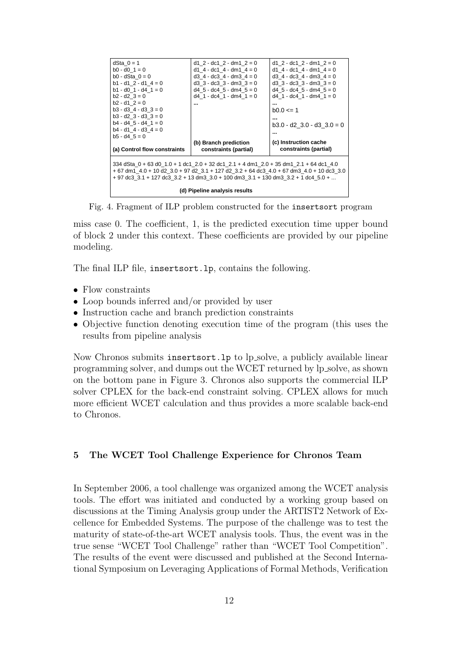Fig. 4. Fragment of ILP problem constructed for the insertsort program

miss case 0. The coefficient, 1, is the predicted execution time upper bound of block 2 under this context. These coefficients are provided by our pipeline modeling.

The final ILP file, insertsort.lp, contains the following.

- Flow constraints
- Loop bounds inferred and/or provided by user
- Instruction cache and branch prediction constraints
- Objective function denoting execution time of the program (this uses the results from pipeline analysis

Now Chronos submits insertsort.lp to lp solve, a publicly available linear programming solver, and dumps out the WCET returned by lp solve, as shown on the bottom pane in Figure 3. Chronos also supports the commercial ILP solver CPLEX for the back-end constraint solving. CPLEX allows for much more efficient WCET calculation and thus provides a more scalable back-end to Chronos.

### 5 The WCET Tool Challenge Experience for Chronos Team

In September 2006, a tool challenge was organized among the WCET analysis tools. The effort was initiated and conducted by a working group based on discussions at the Timing Analysis group under the ARTIST2 Network of Excellence for Embedded Systems. The purpose of the challenge was to test the maturity of state-of-the-art WCET analysis tools. Thus, the event was in the true sense "WCET Tool Challenge" rather than "WCET Tool Competition". The results of the event were discussed and published at the Second International Symposium on Leveraging Applications of Formal Methods, Verification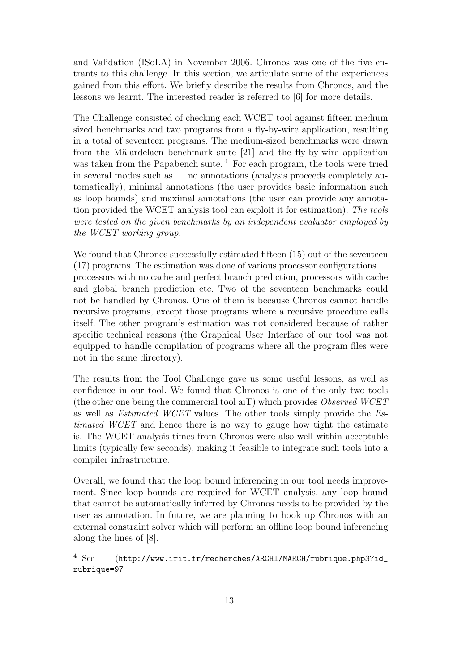and Validation (ISoLA) in November 2006. Chronos was one of the five entrants to this challenge. In this section, we articulate some of the experiences gained from this effort. We briefly describe the results from Chronos, and the lessons we learnt. The interested reader is referred to [6] for more details.

The Challenge consisted of checking each WCET tool against fifteen medium sized benchmarks and two programs from a fly-by-wire application, resulting in a total of seventeen programs. The medium-sized benchmarks were drawn from the Mälardelaen benchmark suite [21] and the fly-by-wire application was taken from the Papabench suite.<sup>4</sup> For each program, the tools were tried in several modes such as — no annotations (analysis proceeds completely automatically), minimal annotations (the user provides basic information such as loop bounds) and maximal annotations (the user can provide any annotation provided the WCET analysis tool can exploit it for estimation). The tools were tested on the given benchmarks by an independent evaluator employed by the WCET working group.

We found that Chronos successfully estimated fifteen (15) out of the seventeen (17) programs. The estimation was done of various processor configurations processors with no cache and perfect branch prediction, processors with cache and global branch prediction etc. Two of the seventeen benchmarks could not be handled by Chronos. One of them is because Chronos cannot handle recursive programs, except those programs where a recursive procedure calls itself. The other program's estimation was not considered because of rather specific technical reasons (the Graphical User Interface of our tool was not equipped to handle compilation of programs where all the program files were not in the same directory).

The results from the Tool Challenge gave us some useful lessons, as well as confidence in our tool. We found that Chronos is one of the only two tools (the other one being the commercial tool aiT) which provides Observed WCET as well as Estimated WCET values. The other tools simply provide the Estimated WCET and hence there is no way to gauge how tight the estimate is. The WCET analysis times from Chronos were also well within acceptable limits (typically few seconds), making it feasible to integrate such tools into a compiler infrastructure.

Overall, we found that the loop bound inferencing in our tool needs improvement. Since loop bounds are required for WCET analysis, any loop bound that cannot be automatically inferred by Chronos needs to be provided by the user as annotation. In future, we are planning to hook up Chronos with an external constraint solver which will perform an offline loop bound inferencing along the lines of [8].

 $\overline{4 \text{ See}}$  (http://www.irit.fr/recherches/ARCHI/MARCH/rubrique.php3?id\_ rubrique=97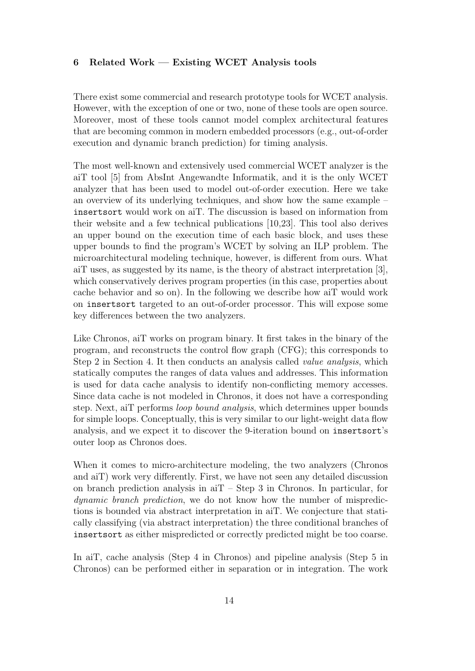### 6 Related Work — Existing WCET Analysis tools

There exist some commercial and research prototype tools for WCET analysis. However, with the exception of one or two, none of these tools are open source. Moreover, most of these tools cannot model complex architectural features that are becoming common in modern embedded processors (e.g., out-of-order execution and dynamic branch prediction) for timing analysis.

The most well-known and extensively used commercial WCET analyzer is the aiT tool [5] from AbsInt Angewandte Informatik, and it is the only WCET analyzer that has been used to model out-of-order execution. Here we take an overview of its underlying techniques, and show how the same example – insertsort would work on aiT. The discussion is based on information from their website and a few technical publications [10,23]. This tool also derives an upper bound on the execution time of each basic block, and uses these upper bounds to find the program's WCET by solving an ILP problem. The microarchitectural modeling technique, however, is different from ours. What aiT uses, as suggested by its name, is the theory of abstract interpretation [3], which conservatively derives program properties (in this case, properties about cache behavior and so on). In the following we describe how aiT would work on insertsort targeted to an out-of-order processor. This will expose some key differences between the two analyzers.

Like Chronos, aiT works on program binary. It first takes in the binary of the program, and reconstructs the control flow graph (CFG); this corresponds to Step 2 in Section 4. It then conducts an analysis called value analysis, which statically computes the ranges of data values and addresses. This information is used for data cache analysis to identify non-conflicting memory accesses. Since data cache is not modeled in Chronos, it does not have a corresponding step. Next, aiT performs loop bound analysis, which determines upper bounds for simple loops. Conceptually, this is very similar to our light-weight data flow analysis, and we expect it to discover the 9-iteration bound on insertsort's outer loop as Chronos does.

When it comes to micro-architecture modeling, the two analyzers (Chronos and aiT) work very differently. First, we have not seen any detailed discussion on branch prediction analysis in  $aT - Step 3$  in Chronos. In particular, for dynamic branch prediction, we do not know how the number of mispredictions is bounded via abstract interpretation in aiT. We conjecture that statically classifying (via abstract interpretation) the three conditional branches of insertsort as either mispredicted or correctly predicted might be too coarse.

In aiT, cache analysis (Step 4 in Chronos) and pipeline analysis (Step 5 in Chronos) can be performed either in separation or in integration. The work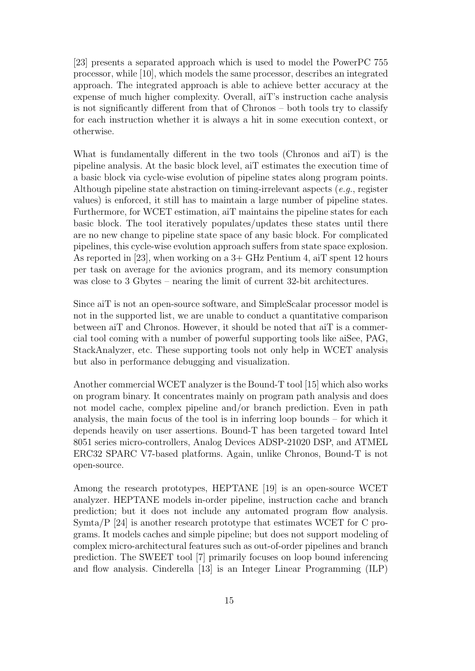[23] presents a separated approach which is used to model the PowerPC 755 processor, while [10], which models the same processor, describes an integrated approach. The integrated approach is able to achieve better accuracy at the expense of much higher complexity. Overall, aiT's instruction cache analysis is not significantly different from that of Chronos – both tools try to classify for each instruction whether it is always a hit in some execution context, or otherwise.

What is fundamentally different in the two tools (Chronos and aiT) is the pipeline analysis. At the basic block level, aiT estimates the execution time of a basic block via cycle-wise evolution of pipeline states along program points. Although pipeline state abstraction on timing-irrelevant aspects (e.g., register values) is enforced, it still has to maintain a large number of pipeline states. Furthermore, for WCET estimation, aiT maintains the pipeline states for each basic block. The tool iteratively populates/updates these states until there are no new change to pipeline state space of any basic block. For complicated pipelines, this cycle-wise evolution approach suffers from state space explosion. As reported in [23], when working on a 3+ GHz Pentium 4, aiT spent 12 hours per task on average for the avionics program, and its memory consumption was close to 3 Gbytes – nearing the limit of current 32-bit architectures.

Since aiT is not an open-source software, and SimpleScalar processor model is not in the supported list, we are unable to conduct a quantitative comparison between aiT and Chronos. However, it should be noted that aiT is a commercial tool coming with a number of powerful supporting tools like aiSee, PAG, StackAnalyzer, etc. These supporting tools not only help in WCET analysis but also in performance debugging and visualization.

Another commercial WCET analyzer is the Bound-T tool [15] which also works on program binary. It concentrates mainly on program path analysis and does not model cache, complex pipeline and/or branch prediction. Even in path analysis, the main focus of the tool is in inferring loop bounds – for which it depends heavily on user assertions. Bound-T has been targeted toward Intel 8051 series micro-controllers, Analog Devices ADSP-21020 DSP, and ATMEL ERC32 SPARC V7-based platforms. Again, unlike Chronos, Bound-T is not open-source.

Among the research prototypes, HEPTANE [19] is an open-source WCET analyzer. HEPTANE models in-order pipeline, instruction cache and branch prediction; but it does not include any automated program flow analysis. Symta/P [24] is another research prototype that estimates WCET for C programs. It models caches and simple pipeline; but does not support modeling of complex micro-architectural features such as out-of-order pipelines and branch prediction. The SWEET tool [7] primarily focuses on loop bound inferencing and flow analysis. Cinderella [13] is an Integer Linear Programming (ILP)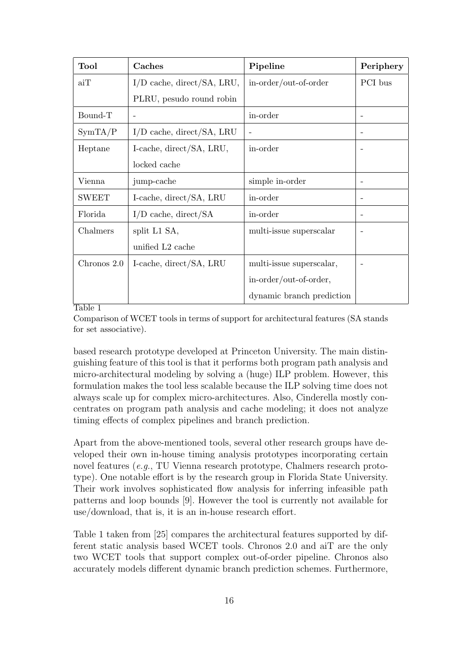| <b>Tool</b>  | Caches                       | Pipeline                  | Periphery                |
|--------------|------------------------------|---------------------------|--------------------------|
| aiT          | $I/D$ cache, direct/SA, LRU, | in-order/out-of-order     | PCI bus                  |
|              | PLRU, pesudo round robin     |                           |                          |
| Bound-T      |                              | in-order                  | $\overline{\phantom{0}}$ |
| SymTA/P      | $I/D$ cache, direct/SA, LRU  |                           | $\qquad \qquad -$        |
| Heptane      | I-cache, direct/SA, LRU,     | in-order                  |                          |
|              | locked cache                 |                           |                          |
| Vienna       | jump-cache                   | simple in-order           | $\overline{\phantom{0}}$ |
| <b>SWEET</b> | I-cache, direct/SA, LRU      | in-order                  | $\overline{\phantom{0}}$ |
| Florida      | $I/D$ cache, direct/SA       | in-order                  | $\qquad \qquad -$        |
| Chalmers     | split L1 SA,                 | multi-issue superscalar   |                          |
|              | unified L <sub>2</sub> cache |                           |                          |
| Chronos 2.0  | I-cache, direct/SA, LRU      | multi-issue superscalar,  |                          |
|              |                              | in-order/out-of-order,    |                          |
|              |                              | dynamic branch prediction |                          |

### Table 1

Comparison of WCET tools in terms of support for architectural features (SA stands for set associative).

based research prototype developed at Princeton University. The main distinguishing feature of this tool is that it performs both program path analysis and micro-architectural modeling by solving a (huge) ILP problem. However, this formulation makes the tool less scalable because the ILP solving time does not always scale up for complex micro-architectures. Also, Cinderella mostly concentrates on program path analysis and cache modeling; it does not analyze timing effects of complex pipelines and branch prediction.

Apart from the above-mentioned tools, several other research groups have developed their own in-house timing analysis prototypes incorporating certain novel features (e.g., TU Vienna research prototype, Chalmers research prototype). One notable effort is by the research group in Florida State University. Their work involves sophisticated flow analysis for inferring infeasible path patterns and loop bounds [9]. However the tool is currently not available for use/download, that is, it is an in-house research effort.

Table 1 taken from [25] compares the architectural features supported by different static analysis based WCET tools. Chronos 2.0 and aiT are the only two WCET tools that support complex out-of-order pipeline. Chronos also accurately models different dynamic branch prediction schemes. Furthermore,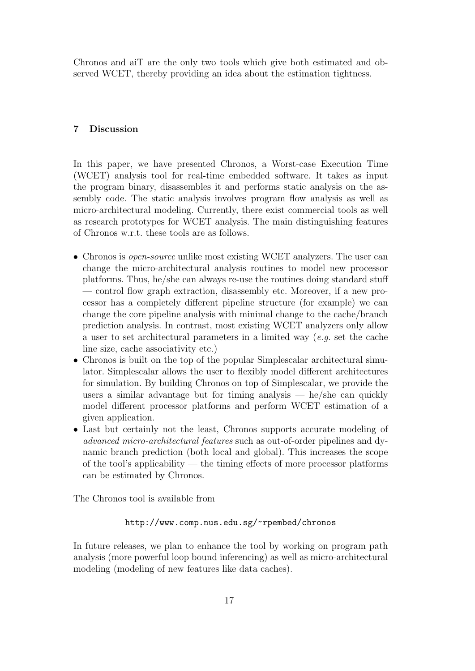Chronos and aiT are the only two tools which give both estimated and observed WCET, thereby providing an idea about the estimation tightness.

### 7 Discussion

In this paper, we have presented Chronos, a Worst-case Execution Time (WCET) analysis tool for real-time embedded software. It takes as input the program binary, disassembles it and performs static analysis on the assembly code. The static analysis involves program flow analysis as well as micro-architectural modeling. Currently, there exist commercial tools as well as research prototypes for WCET analysis. The main distinguishing features of Chronos w.r.t. these tools are as follows.

- Chronos is *open-source* unlike most existing WCET analyzers. The user can change the micro-architectural analysis routines to model new processor platforms. Thus, he/she can always re-use the routines doing standard stuff — control flow graph extraction, disassembly etc. Moreover, if a new processor has a completely different pipeline structure (for example) we can change the core pipeline analysis with minimal change to the cache/branch prediction analysis. In contrast, most existing WCET analyzers only allow a user to set architectural parameters in a limited way  $(e.g.$  set the cache line size, cache associativity etc.)
- Chronos is built on the top of the popular Simplescalar architectural simulator. Simplescalar allows the user to flexibly model different architectures for simulation. By building Chronos on top of Simplescalar, we provide the users a similar advantage but for timing analysis  $-$  he/she can quickly model different processor platforms and perform WCET estimation of a given application.
- Last but certainly not the least, Chronos supports accurate modeling of advanced micro-architectural features such as out-of-order pipelines and dynamic branch prediction (both local and global). This increases the scope of the tool's applicability — the timing effects of more processor platforms can be estimated by Chronos.

The Chronos tool is available from

### http://www.comp.nus.edu.sg/~rpembed/chronos

In future releases, we plan to enhance the tool by working on program path analysis (more powerful loop bound inferencing) as well as micro-architectural modeling (modeling of new features like data caches).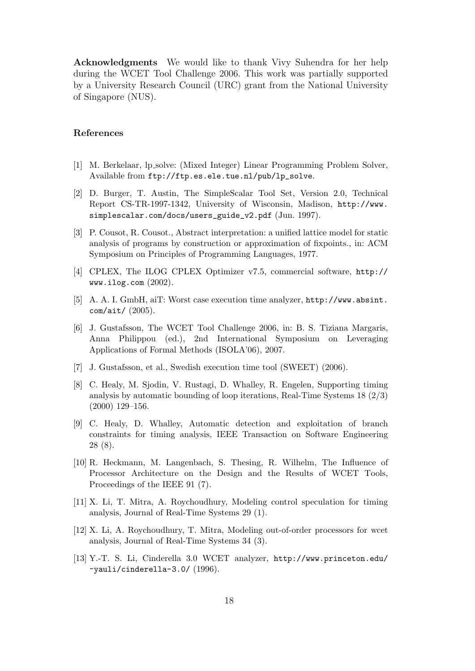Acknowledgments We would like to thank Vivy Suhendra for her help during the WCET Tool Challenge 2006. This work was partially supported by a University Research Council (URC) grant from the National University of Singapore (NUS).

#### References

- [1] M. Berkelaar, lp solve: (Mixed Integer) Linear Programming Problem Solver, Available from ftp://ftp.es.ele.tue.nl/pub/lp\_solve.
- [2] D. Burger, T. Austin, The SimpleScalar Tool Set, Version 2.0, Technical Report CS-TR-1997-1342, University of Wisconsin, Madison, http://www. simplescalar.com/docs/users\_guide\_v2.pdf (Jun. 1997).
- [3] P. Cousot, R. Cousot., Abstract interpretation: a unified lattice model for static analysis of programs by construction or approximation of fixpoints., in: ACM Symposium on Principles of Programming Languages, 1977.
- [4] CPLEX, The ILOG CPLEX Optimizer v7.5, commercial software, http:// www.ilog.com (2002).
- [5] A. A. I. GmbH, aiT: Worst case execution time analyzer, http://www.absint. com/ait/ (2005).
- [6] J. Gustafsson, The WCET Tool Challenge 2006, in: B. S. Tiziana Margaris, Anna Philippou (ed.), 2nd International Symposium on Leveraging Applications of Formal Methods (ISOLA'06), 2007.
- [7] J. Gustafsson, et al., Swedish execution time tool (SWEET) (2006).
- [8] C. Healy, M. Sjodin, V. Rustagi, D. Whalley, R. Engelen, Supporting timing analysis by automatic bounding of loop iterations, Real-Time Systems  $18 (2/3)$ (2000) 129–156.
- [9] C. Healy, D. Whalley, Automatic detection and exploitation of branch constraints for timing analysis, IEEE Transaction on Software Engineering 28 (8).
- [10] R. Heckmann, M. Langenbach, S. Thesing, R. Wilhelm, The Influence of Processor Architecture on the Design and the Results of WCET Tools, Proceedings of the IEEE 91 (7).
- [11] X. Li, T. Mitra, A. Roychoudhury, Modeling control speculation for timing analysis, Journal of Real-Time Systems 29 (1).
- [12] X. Li, A. Roychoudhury, T. Mitra, Modeling out-of-order processors for wcet analysis, Journal of Real-Time Systems 34 (3).
- [13] Y.-T. S. Li, Cinderella 3.0 WCET analyzer, http://www.princeton.edu/ ~yauli/cinderella-3.0/ (1996).